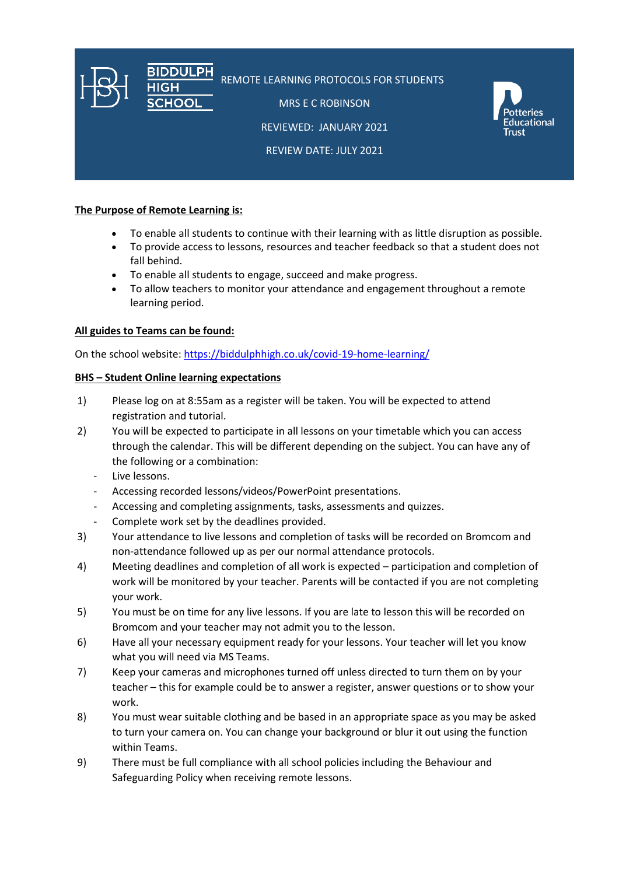**BIDDULPH**<br>WALLET REMOTE LEARNING PROTOCOLS FOR STUDENTS

**tteries** ducational

MRS E C ROBINSON

REVIEWED: JANUARY 2021

REVIEW DATE: JULY 2021

## **The Purpose of Remote Learning is:**

**CHOOL** 

- To enable all students to continue with their learning with as little disruption as possible.
- To provide access to lessons, resources and teacher feedback so that a student does not fall behind.
- To enable all students to engage, succeed and make progress.
- To allow teachers to monitor your attendance and engagement throughout a remote learning period.

## **All guides to Teams can be found:**

On the school website:<https://biddulphhigh.co.uk/covid-19-home-learning/>

## **BHS – Student Online learning expectations**

- 1) Please log on at 8:55am as a register will be taken. You will be expected to attend registration and tutorial.
- 2) You will be expected to participate in all lessons on your timetable which you can access through the calendar. This will be different depending on the subject. You can have any of the following or a combination:
	- Live lessons.
	- Accessing recorded lessons/videos/PowerPoint presentations.
	- Accessing and completing assignments, tasks, assessments and quizzes.
	- Complete work set by the deadlines provided.
- 3) Your attendance to live lessons and completion of tasks will be recorded on Bromcom and non-attendance followed up as per our normal attendance protocols.
- 4) Meeting deadlines and completion of all work is expected participation and completion of work will be monitored by your teacher. Parents will be contacted if you are not completing your work.
- 5) You must be on time for any live lessons. If you are late to lesson this will be recorded on Bromcom and your teacher may not admit you to the lesson.
- 6) Have all your necessary equipment ready for your lessons. Your teacher will let you know what you will need via MS Teams.
- 7) Keep your cameras and microphones turned off unless directed to turn them on by your teacher – this for example could be to answer a register, answer questions or to show your work.
- 8) You must wear suitable clothing and be based in an appropriate space as you may be asked to turn your camera on. You can change your background or blur it out using the function within Teams.
- 9) There must be full compliance with all school policies including the Behaviour and Safeguarding Policy when receiving remote lessons.